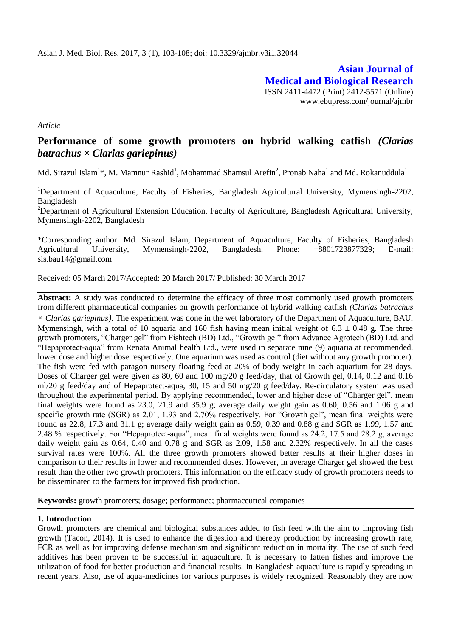**Asian Journal of Medical and Biological Research** ISSN 2411-4472 (Print) 2412-5571 (Online) www.ebupress.com/journal/ajmbr

*Article*

# **Performance of some growth promoters on hybrid walking catfish** *(Clarias batrachus × Clarias gariepinus)*

Md. Sirazul Islam $^{1*}$ , M. Mamnur Rashid $^{1}$ , Mohammad Shamsul Arefin $^{2}$ , Pronab Naha $^{1}$  and Md. Rokanuddula $^{1}$ 

<sup>1</sup>Department of Aquaculture, Faculty of Fisheries, Bangladesh Agricultural University, Mymensingh-2202, Bangladesh

<sup>2</sup>Department of Agricultural Extension Education, Faculty of Agriculture, Bangladesh Agricultural University, Mymensingh-2202, Bangladesh

\*Corresponding author: Md. Sirazul Islam, Department of Aquaculture, Faculty of Fisheries, Bangladesh Agricultural University, Mymensingh-2202, Bangladesh. Phone: +8801723877329; E-mail: sis.bau14@gmail.com

Received: 05 March 2017/Accepted: 20 March 2017/ Published: 30 March 2017

**Abstract:** A study was conducted to determine the efficacy of three most commonly used growth promoters from different pharmaceutical companies on growth performance of hybrid walking catfish *(Clarias batrachus × Clarias gariepinus)*. The experiment was done in the wet laboratory of the Department of Aquaculture, BAU, Mymensingh, with a total of 10 aquaria and 160 fish having mean initial weight of  $6.3 \pm 0.48$  g. The three growth promoters, "Charger gel" from Fishtech (BD) Ltd., "Growth gel" from Advance Agrotech (BD) Ltd. and "Hepaprotect-aqua" from Renata Animal health Ltd., were used in separate nine (9) aquaria at recommended, lower dose and higher dose respectively. One aquarium was used as control (diet without any growth promoter). The fish were fed with paragon nursery floating feed at 20% of body weight in each aquarium for 28 days. Doses of Charger gel were given as 80, 60 and 100 mg/20 g feed/day, that of Growth gel, 0.14, 0.12 and 0.16 ml/20 g feed/day and of Hepaprotect-aqua, 30, 15 and 50 mg/20 g feed/day. Re-circulatory system was used throughout the experimental period. By applying recommended, lower and higher dose of "Charger gel", mean final weights were found as 23.0, 21.9 and 35.9 g; average daily weight gain as 0.60, 0.56 and 1.06 g and specific growth rate (SGR) as 2.01, 1.93 and 2.70% respectively. For "Growth gel", mean final weights were found as 22.8, 17.3 and 31.1 g; average daily weight gain as 0.59, 0.39 and 0.88 g and SGR as 1.99, 1.57 and 2.48 % respectively. For "Hepaprotect-aqua", mean final weights were found as 24.2, 17.5 and 28.2 g; average daily weight gain as 0.64, 0.40 and 0.78 g and SGR as 2.09, 1.58 and 2.32% respectively. In all the cases survival rates were 100%. All the three growth promoters showed better results at their higher doses in comparison to their results in lower and recommended doses. However, in average Charger gel showed the best result than the other two growth promoters. This information on the efficacy study of growth promoters needs to be disseminated to the farmers for improved fish production.

**Keywords:** growth promoters; dosage; performance; pharmaceutical companies

## **1. Introduction**

Growth promoters are chemical and biological substances added to fish feed with the aim to improving fish growth (Tacon, 2014). It is used to enhance the digestion and thereby production by increasing growth rate, FCR as well as for improving defense mechanism and significant reduction in mortality. The use of such feed additives has been proven to be successful in aquaculture. It is necessary to fatten fishes and improve the utilization of food for better production and financial results. In Bangladesh aquaculture is rapidly spreading in recent years. Also, use of aqua-medicines for various purposes is widely recognized. Reasonably they are now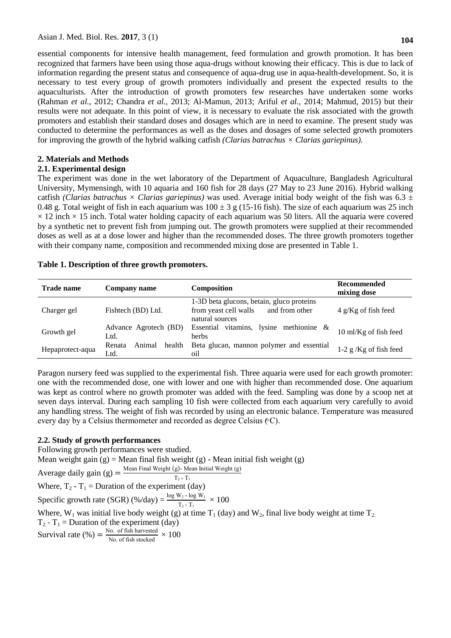essential components for intensive health management, feed formulation and growth promotion. It has been recognized that farmers have been using those aqua-drugs without knowing their efficacy. This is due to lack of information regarding the present status and consequence of aqua-drug use in aqua-health-development. So, it is necessary to test every group of growth promoters individually and present the expected results to the aquaculturists. After the introduction of growth promoters few researches have undertaken some works (Rahman *et al.,* 2012; Chandra *et al.,* 2013; Al-Mamun, 2013; Ariful *et al.,* 2014; Mahmud, 2015) but their results were not adequate. In this point of view, it is necessary to evaluate the risk associated with the growth promoters and establish their standard doses and dosages which are in need to examine. The present study was conducted to determine the performances as well as the doses and dosages of some selected growth promoters for improving the growth of the hybrid walking catfish *(Clarias batrachus × Clarias gariepinus).*

## **2. Materials and Methods**

## **2.1. Experimental design**

The experiment was done in the wet laboratory of the Department of Aquaculture, Bangladesh Agricultural University, Mymensingh, with 10 aquaria and 160 fish for 28 days (27 May to 23 June 2016). Hybrid walking catfish *(Clarias batrachus × Clarias gariepinus)* was used. Average initial body weight of the fish was 6.3 ± 0.48 g. Total weight of fish in each aquarium was  $100 \pm 3$  g (15-16 fish). The size of each aquarium was 25 inch  $\times$  12 inch  $\times$  15 inch. Total water holding capacity of each aquarium was 50 liters. All the aquaria were covered by a synthetic net to prevent fish from jumping out. The growth promoters were supplied at their recommended doses as well as at a dose lower and higher than the recommended doses. The three growth promoters together with their company name, composition and recommended mixing dose are presented in Table 1.

## **Table 1. Description of three growth promoters.**

| <b>Trade name</b> | Company name                       | Composition                                                                                             | <b>Recommended</b><br>mixing dose |
|-------------------|------------------------------------|---------------------------------------------------------------------------------------------------------|-----------------------------------|
| Charger gel       | Fishtech (BD) Ltd.                 | 1-3D beta glucons, betain, gluco proteins<br>and from other<br>from yeast cell walls<br>natural sources | $4 g/Kg$ of fish feed             |
| Growth gel        | Advance Agrotech (BD)<br>Ltd.      | Essential vitamins, lysine methionine &<br>herbs                                                        | 10 ml/Kg of fish feed             |
| Hepaprotect-aqua  | Animal<br>health<br>Renata<br>Ltd. | Beta glucan, mannon polymer and essential<br>oil                                                        | $1-2$ g /Kg of fish feed          |

Paragon nursery feed was supplied to the experimental fish. Three aquaria were used for each growth promoter: one with the recommended dose, one with lower and one with higher than recommended dose. One aquarium was kept as control where no growth promoter was added with the feed. Sampling was done by a scoop net at seven days interval. During each sampling 10 fish were collected from each aquarium very carefully to avoid any handling stress. The weight of fish was recorded by using an electronic balance. Temperature was measured every day by a Celsius thermometer and recorded as degree Celsius  $({}^{\circ}C)$ .

# **2.2. Study of growth performances**

Following growth performances were studied.

Mean weight gain  $(g)$  = Mean final fish weight  $(g)$  - Mean initial fish weight  $(g)$ 

Average daily gain (g) = 
$$
\frac{\text{Mean Final Weight (g)} - \text{Mean Initial Weight (g)}}{\text{T T}}
$$

 $T_2 - T_1$ Where,  $T_2 - T_1 =$  Duration of the experiment (day)

Specific growth rate (SGR) (%/day) =  $\frac{\log W_2 - \log W_1}{T_2 - T_1} \times 100$ 

Where,  $W_1$  was initial live body weight (g) at time  $T_1$  (day) and  $W_2$ , final live body weight at time  $T_2$ .

 $T_2 - T_1$  = Duration of the experiment (day)

Survival rate (%) =  $\frac{N_{0.} \text{ of fish harvested}}{N_{0.} \text{ of fish stocked}} \times 100$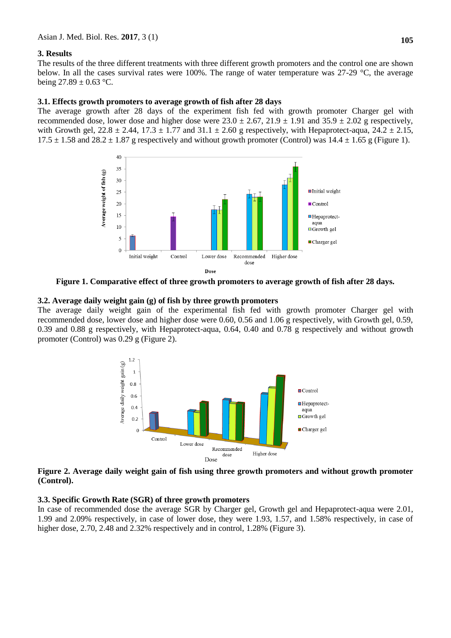## **3. Results**

The results of the three different treatments with three different growth promoters and the control one are shown below. In all the cases survival rates were 100%. The range of water temperature was 27-29 °C, the average being  $27.89 \pm 0.63$  °C.

#### **3.1. Effects growth promoters to average growth of fish after 28 days**

The average growth after 28 days of the experiment fish fed with growth promoter Charger gel with recommended dose, lower dose and higher dose were  $23.0 \pm 2.67$ ,  $21.9 \pm 1.91$  and  $35.9 \pm 2.02$  g respectively, with Growth gel,  $22.8 \pm 2.44$ ,  $17.3 \pm 1.77$  and  $31.1 \pm 2.60$  g respectively, with Hepaprotect-aqua,  $24.2 \pm 2.15$ ,  $17.5 \pm 1.58$  and  $28.2 \pm 1.87$  g respectively and without growth promoter (Control) was  $14.4 \pm 1.65$  g (Figure 1).



**Figure 1. Comparative effect of three growth promoters to average growth of fish after 28 days.**

## **3.2. Average daily weight gain (g) of fish by three growth promoters**

The average daily weight gain of the experimental fish fed with growth promoter Charger gel with recommended dose, lower dose and higher dose were 0.60, 0.56 and 1.06 g respectively, with Growth gel, 0.59, 0.39 and 0.88 g respectively, with Hepaprotect-aqua, 0.64, 0.40 and 0.78 g respectively and without growth promoter (Control) was 0.29 g (Figure 2).



## **Figure 2. Average daily weight gain of fish using three growth promoters and without growth promoter (Control).**

#### **3.3. Specific Growth Rate (SGR) of three growth promoters**

In case of recommended dose the average SGR by Charger gel, Growth gel and Hepaprotect-aqua were 2.01, 1.99 and 2.09% respectively, in case of lower dose, they were 1.93, 1.57, and 1.58% respectively, in case of higher dose, 2.70, 2.48 and 2.32% respectively and in control, 1.28% (Figure 3).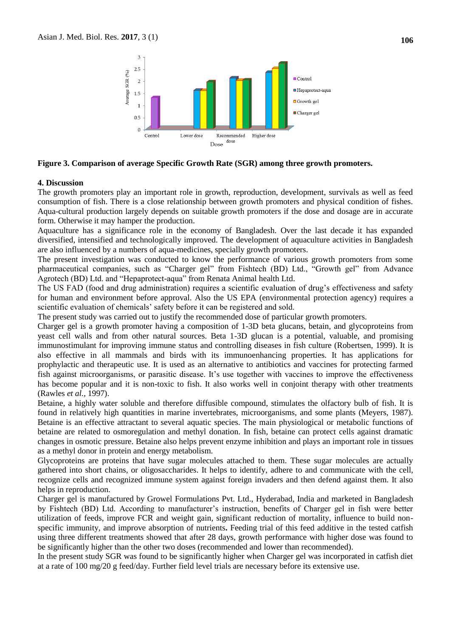

## **Figure 3. Comparison of average Specific Growth Rate (SGR) among three growth promoters.**

#### **4. Discussion**

The growth promoters play an important role in growth, reproduction, development, survivals as well as feed consumption of fish. There is a close relationship between growth promoters and physical condition of fishes. Aqua-cultural production largely depends on suitable growth promoters if the dose and dosage are in accurate form. Otherwise it may hamper the production.

Aquaculture has a significance role in the economy of Bangladesh. Over the last decade it has expanded diversified, intensified and technologically improved. The development of aquaculture activities in Bangladesh are also influenced by a numbers of aqua-medicines, specially growth promoters.

The present investigation was conducted to know the performance of various growth promoters from some pharmaceutical companies, such as "Charger gel" from Fishtech (BD) Ltd., "Growth gel" from Advance Agrotech (BD) Ltd. and "Hepaprotect-aqua" from Renata Animal health Ltd.

The US FAD (food and drug administration) requires a scientific evaluation of drug's effectiveness and safety for human and environment before approval. Also the US EPA (environmental protection agency) requires a scientific evaluation of chemicals' safety before it can be registered and sold.

The present study was carried out to justify the recommended dose of particular growth promoters.

Charger gel is a growth promoter having a composition of 1-3D beta glucans, betain, and glycoproteins from yeast cell walls and from other natural sources. Beta 1-3D glucan is a potential, valuable, and promising immunostimulant for improving immune status and controlling diseases in fish culture (Robertsen, 1999). It is also effective in all mammals and birds with its immunoenhancing properties. It has applications for prophylactic and therapeutic use. It is used as an alternative to antibiotics and vaccines for protecting farmed fish against microorganisms, or parasitic disease. It's use together with vaccines to improve the effectiveness has become popular and it is non-toxic to fish. It also works well in conjoint therapy with other treatments (Rawles *et al.,* 1997).

Betaine, a highly water soluble and therefore diffusible compound, stimulates the olfactory bulb of fish. It is found in relatively high quantities in marine invertebrates, microorganisms, and some plants (Meyers, 1987). Betaine is an effective attractant to several aquatic species. The main physiological or metabolic functions of betaine are related to osmoregulation and methyl donation. In fish, betaine can protect cells against dramatic changes in osmotic pressure. Betaine also helps prevent enzyme inhibition and plays an important role in tissues as a methyl donor in protein and energy metabolism.

Glycoproteins are proteins that have sugar molecules attached to them. These sugar molecules are actually gathered into short chains, or oligosaccharides. It helps to identify, adhere to and communicate with the cell, recognize cells and recognized immune system against foreign invaders and then defend against them. It also helps in reproduction.

Charger gel is manufactured by Growel Formulations Pvt. Ltd., Hyderabad, India and marketed in Bangladesh by Fishtech (BD) Ltd. According to manufacturer's instruction, benefits of Charger gel in fish were better utilization of feeds, improve FCR and weight gain, significant reduction of mortality, influence to build nonspecific immunity, and improve absorption of nutrients**.** Feeding trial of this feed additive in the tested catfish using three different treatments showed that after 28 days, growth performance with higher dose was found to be significantly higher than the other two doses (recommended and lower than recommended).

In the present study SGR was found to be significantly higher when Charger gel was incorporated in catfish diet at a rate of 100 mg/20 g feed/day. Further field level trials are necessary before its extensive use.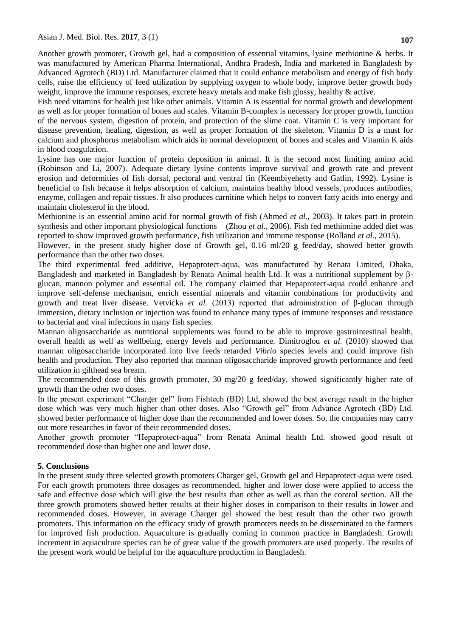Another growth promoter, Growth gel, had a composition of essential vitamins, lysine methionine & herbs. It was manufactured by American Pharma International, Andhra Pradesh, India and marketed in Bangladesh by Advanced Agrotech (BD) Ltd. Manufacturer claimed that it could enhance metabolism and energy of fish body cells, raise the efficiency of feed utilization by supplying oxygen to whole body, improve better growth body weight, improve the immune responses, excrete heavy metals and make fish glossy, healthy & active.

Fish need vitamins for health just like other animals. Vitamin A is essential for normal growth and development as well as for proper formation of bones and scales. Vitamin B-complex is necessary for proper growth, function of the nervous system, digestion of protein, and protection of the slime coat. Vitamin C is very important for disease prevention, healing, digestion, as well as proper formation of the skeleton. Vitamin D is a must for calcium and phosphorus metabolism which aids in normal development of bones and scales and Vitamin K aids in blood coagulation.

Lysine has one major function of protein deposition in animal. It is the second most limiting amino acid (Robinson and Li, 2007). Adequate dietary lysine contents improve survival and growth rate and prevent erosion and deformities of fish dorsal, pectoral and ventral fin (Keembiyehetty and Gatlin, 1992). Lysine is beneficial to fish because it helps absorption of calcium, maintains healthy blood vessels, produces antibodies, enzyme, collagen and repair tissues. It also produces carnitine which helps to convert fatty acids into energy and maintain cholesterol in the blood.

Methionine is an essential amino acid for normal growth of fish (Ahmed *et al.,* 2003). It takes part in protein synthesis and other important physiological functions (Zhou *et al.,* 2006). Fish fed methionine added diet was reported to show improved growth performance, fish utilization and immune response (Rolland *et al.,* 2015).

However, in the present study higher dose of Growth gel, 0.16 ml/20 g feed/day, showed better growth performance than the other two doses.

The third experimental feed additive, Hepaprotect-aqua, was manufactured by Renata Limited, Dhaka, Bangladesh and marketed in Bangladesh by Renata Animal health Ltd. It was a nutritional supplement by βglucan, mannon polymer and essential oil. The company claimed that Hepaprotect-aqua could enhance and improve self-defense mechanism, enrich essential minerals and vitamin combinations for productivity and growth and treat liver disease. Vetvicka *et al.* (2013) reported that administration of β-glucan through immersion, dietary inclusion or injection was found to enhance many types of immune responses and resistance to bacterial and viral infections in many fish species.

Mannan oligosaccharide as nutritional supplements was found to be able to improve gastrointestinal health, overall health as well as wellbeing, energy levels and performance. Dimitroglou *et al.* (2010) showed that mannan oligosaccharide incorporated into live feeds retarded *Vibrio* species levels and could improve fish health and production. They also reported that mannan oligosaccharide improved growth performance and feed utilization in gilthead sea bream.

The recommended dose of this growth promoter, 30 mg/20 g feed/day, showed significantly higher rate of growth than the other two doses.

In the present experiment "Charger gel" from Fishtech (BD) Ltd, showed the best average result in the higher dose which was very much higher than other doses. Also "Growth gel" from Advance Agrotech (BD) Ltd. showed better performance of higher dose than the recommended and lower doses. So, the companies may carry out more researches in favor of their recommended doses.

Another growth promoter "Hepaprotect-aqua" from Renata Animal health Ltd. showed good result of recommended dose than higher one and lower dose.

## **5. Conclusions**

In the present study three selected growth promoters Charger gel, Growth gel and Hepaprotect-aqua were used. For each growth promoters three dosages as recommended, higher and lower dose were applied to access the safe and effective dose which will give the best results than other as well as than the control section. All the three growth promoters showed better results at their higher doses in comparison to their results in lower and recommended doses. However, in average Charger gel showed the best result than the other two growth promoters. This information on the efficacy study of growth promoters needs to be disseminated to the farmers for improved fish production. Aquaculture is gradually coming in common practice in Bangladesh. Growth increment in aquaculture species can be of great value if the growth promoters are used properly. The results of the present work would be helpful for the aquaculture production in Bangladesh.